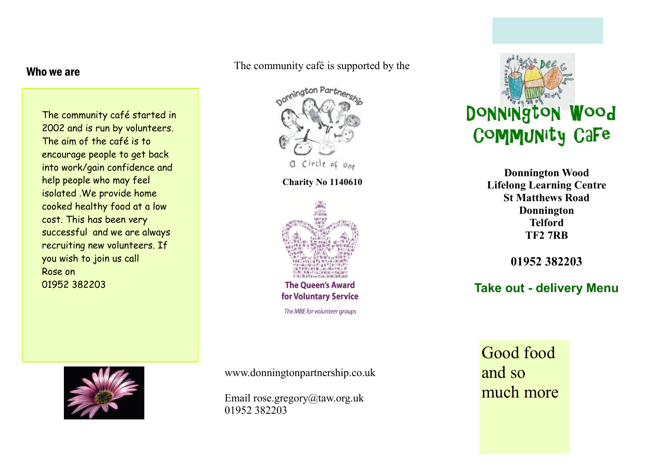## Who we are

The community café started in 2002 and is run by volunteers. The aim of the café is to encourage people to get back into work/gain confidence and help people who may feel isolated .We provide home cooked healthy food at a low cost. This has been very successful and we are always recruiting new volunteers. If you wish to join us call Rose on 01952 382203

The community café is supported by the



**Charity No 1140610**



**The Oueen's Award** for Voluntary Service The MBE for volunteer groups



**Donnington Wood Lifelong Learning Centre St Matthews Road Donnington Telford TF2 7RB**

**01952 382203**

**Take out - delivery Menu**



www.donningtonpartnership.co.uk

Email rose.gregory@taw.org.uk 01952 382203

Good food and so much more